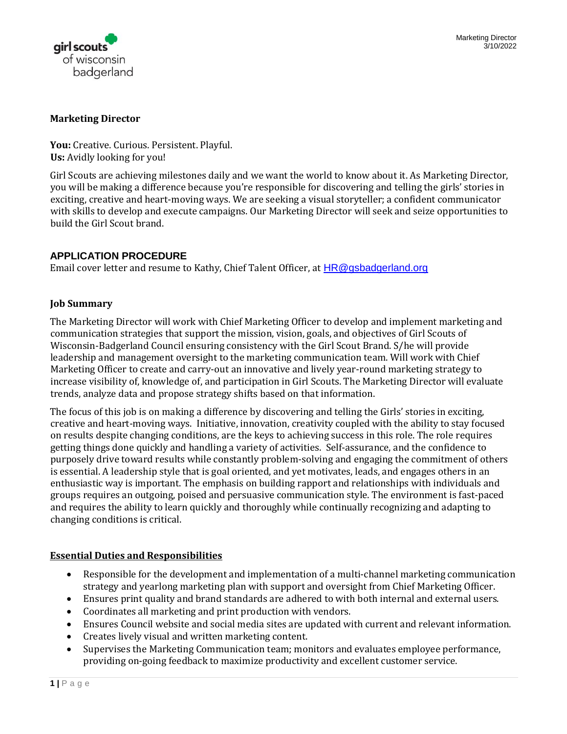

#### **Marketing Director**

**You:** Creative. Curious. Persistent. Playful. **Us:** Avidly looking for you!

Girl Scouts are achieving milestones daily and we want the world to know about it. As Marketing Director, you will be making a difference because you're responsible for discovering and telling the girls' stories in exciting, creative and heart-moving ways. We are seeking a visual storyteller; a confident communicator with skills to develop and execute campaigns. Our Marketing Director will seek and seize opportunities to build the Girl Scout brand.

# **APPLICATION PROCEDURE**

Email cover letter and resume to Kathy, Chief Talent Officer, at [HR@gsbadgerland.org](mailto:HR@gsbadgerland.org)

#### **Job Summary**

The Marketing Director will work with Chief Marketing Officer to develop and implement marketing and communication strategies that support the mission, vision, goals, and objectives of Girl Scouts of Wisconsin-Badgerland Council ensuring consistency with the Girl Scout Brand. S/he will provide leadership and management oversight to the marketing communication team. Will work with Chief Marketing Officer to create and carry-out an innovative and lively year-round marketing strategy to increase visibility of, knowledge of, and participation in Girl Scouts. The Marketing Director will evaluate trends, analyze data and propose strategy shifts based on that information.

The focus of this job is on making a difference by discovering and telling the Girls' stories in exciting, creative and heart-moving ways. Initiative, innovation, creativity coupled with the ability to stay focused on results despite changing conditions, are the keys to achieving success in this role. The role requires getting things done quickly and handling a variety of activities. Self-assurance, and the confidence to purposely drive toward results while constantly problem-solving and engaging the commitment of others is essential. A leadership style that is goal oriented, and yet motivates, leads, and engages others in an enthusiastic way is important. The emphasis on building rapport and relationships with individuals and groups requires an outgoing, poised and persuasive communication style. The environment is fast-paced and requires the ability to learn quickly and thoroughly while continually recognizing and adapting to changing conditions is critical.

### **Essential Duties and Responsibilities**

- Responsible for the development and implementation of a multi-channel marketing communication strategy and yearlong marketing plan with support and oversight from Chief Marketing Officer.
- Ensures print quality and brand standards are adhered to with both internal and external users.
- Coordinates all marketing and print production with vendors.
- Ensures Council website and social media sites are updated with current and relevant information.
- Creates lively visual and written marketing content.
- Supervises the Marketing Communication team; monitors and evaluates employee performance, providing on-going feedback to maximize productivity and excellent customer service.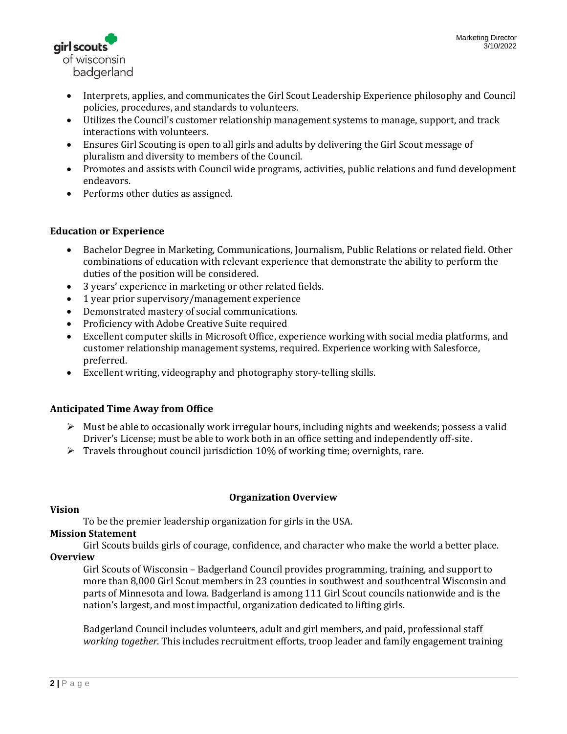

- Interprets, applies, and communicates the Girl Scout Leadership Experience philosophy and Council policies, procedures, and standards to volunteers.
- Utilizes the Council's customer relationship management systems to manage, support, and track interactions with volunteers.
- Ensures Girl Scouting is open to all girls and adults by delivering the Girl Scout message of pluralism and diversity to members of the Council.
- Promotes and assists with Council wide programs, activities, public relations and fund development endeavors.
- Performs other duties as assigned.

# **Education or Experience**

- Bachelor Degree in Marketing, Communications, Journalism, Public Relations or related field. Other combinations of education with relevant experience that demonstrate the ability to perform the duties of the position will be considered.
- 3 years' experience in marketing or other related fields.
- 1 year prior supervisory/management experience
- Demonstrated mastery of social communications.
- Proficiency with Adobe Creative Suite required
- Excellent computer skills in Microsoft Office, experience working with social media platforms, and customer relationship management systems, required. Experience working with Salesforce, preferred.
- Excellent writing, videography and photography story-telling skills.

### **Anticipated Time Away from Office**

- $\triangleright$  Must be able to occasionally work irregular hours, including nights and weekends; possess a valid Driver's License; must be able to work both in an office setting and independently off-site.
- $\triangleright$  Travels throughout council jurisdiction 10% of working time; overnights, rare.

### **Organization Overview**

### **Vision**

To be the premier leadership organization for girls in the USA.

### **Mission Statement**

Girl Scouts builds girls of courage, confidence, and character who make the world a better place. **Overview** 

Girl Scouts of Wisconsin – Badgerland Council provides programming, training, and support to more than 8,000 Girl Scout members in 23 counties in southwest and southcentral Wisconsin and parts of Minnesota and Iowa. Badgerland is among 111 Girl Scout councils nationwide and is the nation's largest, and most impactful, organization dedicated to lifting girls.

Badgerland Council includes volunteers, adult and girl members, and paid, professional staff *working together*. This includes recruitment efforts, troop leader and family engagement training